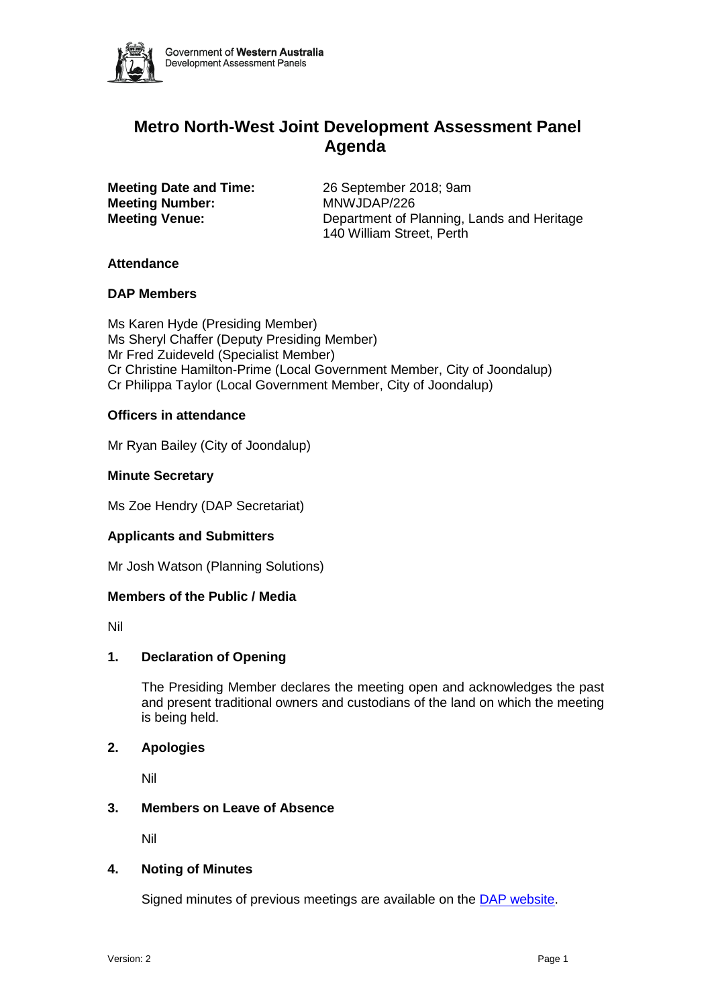

# **Metro North-West Joint Development Assessment Panel Agenda**

**Meeting Number:** MNWJDAP/226

**Meeting Date and Time:** 26 September 2018; 9am **Meeting Venue:** Department of Planning, Lands and Heritage 140 William Street, Perth

## **Attendance**

## **DAP Members**

Ms Karen Hyde (Presiding Member) Ms Sheryl Chaffer (Deputy Presiding Member) Mr Fred Zuideveld (Specialist Member) Cr Christine Hamilton-Prime (Local Government Member, City of Joondalup) Cr Philippa Taylor (Local Government Member, City of Joondalup)

## **Officers in attendance**

Mr Ryan Bailey (City of Joondalup)

## **Minute Secretary**

Ms Zoe Hendry (DAP Secretariat)

## **Applicants and Submitters**

Mr Josh Watson (Planning Solutions)

#### **Members of the Public / Media**

Nil

## **1. Declaration of Opening**

The Presiding Member declares the meeting open and acknowledges the past and present traditional owners and custodians of the land on which the meeting is being held.

#### **2. Apologies**

Nil

#### **3. Members on Leave of Absence**

Nil

## **4. Noting of Minutes**

Signed minutes of previous meetings are available on the [DAP website.](https://www.planning.wa.gov.au/7578.aspx)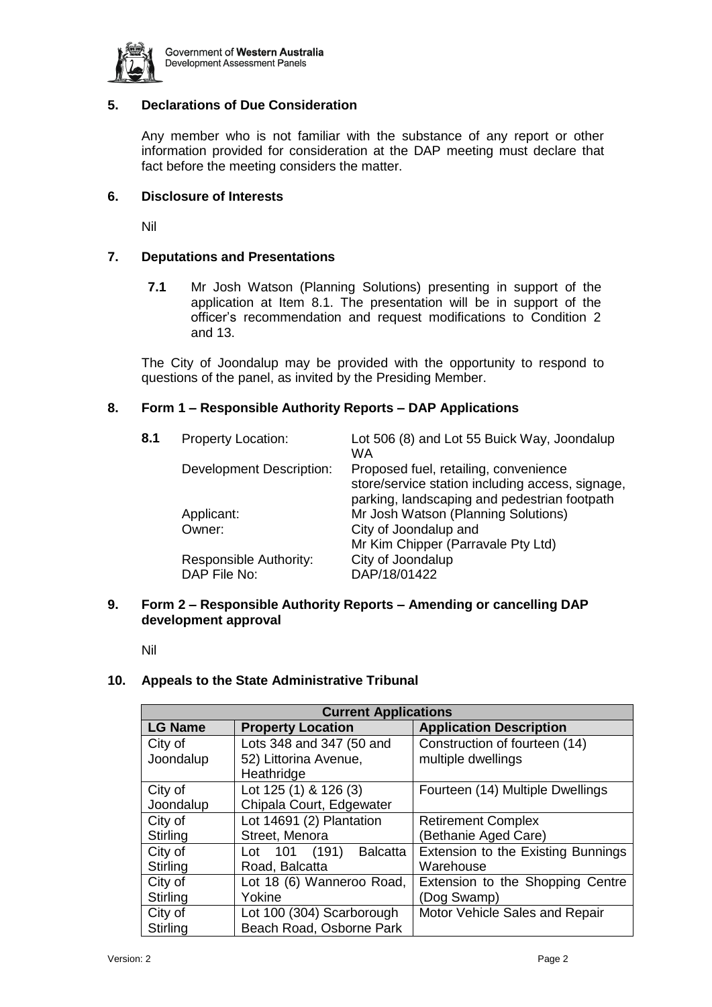

# **5. Declarations of Due Consideration**

Any member who is not familiar with the substance of any report or other information provided for consideration at the DAP meeting must declare that fact before the meeting considers the matter.

## **6. Disclosure of Interests**

Nil

## **7. Deputations and Presentations**

**7.1** Mr Josh Watson (Planning Solutions) presenting in support of the application at Item 8.1. The presentation will be in support of the officer's recommendation and request modifications to Condition 2 and 13.

The City of Joondalup may be provided with the opportunity to respond to questions of the panel, as invited by the Presiding Member.

## **8. Form 1 – Responsible Authority Reports – DAP Applications**

| 8.1 | <b>Property Location:</b>       | Lot 506 (8) and Lot 55 Buick Way, Joondalup<br>WA                                         |
|-----|---------------------------------|-------------------------------------------------------------------------------------------|
|     | <b>Development Description:</b> | Proposed fuel, retailing, convenience<br>store/service station including access, signage, |
|     | Applicant:                      | Mr Josh Watson (Planning Solutions)                                                       |
|     | Owner:                          | City of Joondalup and                                                                     |
|     |                                 | Mr Kim Chipper (Parravale Pty Ltd)                                                        |
|     | Responsible Authority:          | City of Joondalup                                                                         |
|     | DAP File No:                    | DAP/18/01422                                                                              |
|     |                                 | parking, landscaping and pedestrian footpath                                              |

#### **9. Form 2 – Responsible Authority Reports – Amending or cancelling DAP development approval**

Nil

#### **10. Appeals to the State Administrative Tribunal**

| <b>Current Applications</b>                |                                  |                                    |  |  |  |
|--------------------------------------------|----------------------------------|------------------------------------|--|--|--|
| <b>LG Name</b><br><b>Property Location</b> |                                  | <b>Application Description</b>     |  |  |  |
| City of                                    | Lots 348 and 347 (50 and         | Construction of fourteen (14)      |  |  |  |
| Joondalup                                  | 52) Littorina Avenue,            | multiple dwellings                 |  |  |  |
|                                            | Heathridge                       |                                    |  |  |  |
| City of                                    | Lot 125 (1) & 126 (3)            | Fourteen (14) Multiple Dwellings   |  |  |  |
| Joondalup                                  | Chipala Court, Edgewater         |                                    |  |  |  |
| City of                                    | Lot 14691 (2) Plantation         | <b>Retirement Complex</b>          |  |  |  |
| Stirling                                   | Street, Menora                   | (Bethanie Aged Care)               |  |  |  |
| City of                                    | Lot 101 (191)<br><b>Balcatta</b> | Extension to the Existing Bunnings |  |  |  |
| Stirling                                   | Road, Balcatta                   | Warehouse                          |  |  |  |
| City of                                    | Lot 18 (6) Wanneroo Road,        | Extension to the Shopping Centre   |  |  |  |
| Stirling                                   | Yokine                           | (Dog Swamp)                        |  |  |  |
| City of<br>Lot 100 (304) Scarborough       |                                  | Motor Vehicle Sales and Repair     |  |  |  |
| Stirling                                   | Beach Road, Osborne Park         |                                    |  |  |  |